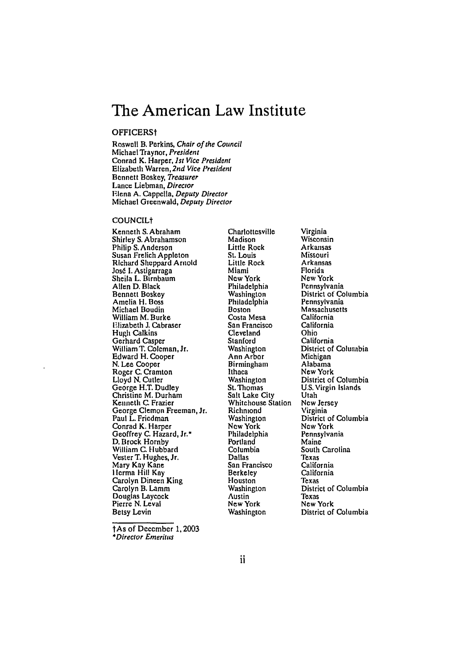# **The American Law Institute**

#### OFFICERSt

Roswell B. Perkins, Chair of the Council Michael Traynor, President Conrad K. Harper, *1st* Vice President Elizabeth Warren, 2nd Vice President Bennett Boskey, Treasurer Lance Liebman, Director Elena **A.** Cappella, Deputy Director Michael Greenwald, Deputy Director

#### COUNCILt

Kenneth **S.** Abraham Shirley **S.** Abrahamson Philip **S.** Anderson **Susan Frelich** Appleton Richard Sheppard Arnold José I. Astigarraga Sheila L. Birnbaum Allen **D.** Black Bennett Boskey Amelia H. Boss Michael Boudin William M. Burke FElizabeth **J.** Cabraser Hugh Calkins Gerhard Casper William T. Coleman, Jr. Edward H. Cooper **N.** Lee Cooper Roger **C.** Cramton Lloyd **N.** Cutler George H.T. Dudley Christine M. Durham Kenneth **C.** Frazier George Clemon Freeman, Jr. Paul L. Friedman Conrad K. Harper Geoffrey **C.** Hazard, Jr.\* **D.** Brock Hornby William **C.** Hubbard Vester T. Hughes, Jr. Mary Kay Kane **I** lerma Hill Kay Carolyn Dineen King Carolyn B. Lamm Douglas Laycock Pierre N. Leval Betsy Levin

Charlottesville Madison Little Rock St. Louis Little Rock Miami **New** York Philadelphia Washington Philadelphia Boston Costa Mesa San Francisco Cleveland Stanford Washington Ann Arbor Birmingham Ithaca Washington St. Thomas Salt Lake City Whitehouse Station Richmond Washington **New** York Philadelphia Portland Columbia Dallas San Francisco Berkeley **Houston** Washington Austin New York Washington

Virginia Wisconsin Arkansas Missouri Arkansas Florida New York Pennsylvania District of Columbia Pennsylvania Massachusetts California California Ohio California District of Columbia Michigan Alabama New York District of Columbia U.S. Virgin Islands Utah New Jersey Virginia District of Columbia New York Pennsylvania Maine South Carolina Texas California California Texas District of Columbia Texas New York District of Columbia

lAs of December 1, 2003 *\*Director* Emeritus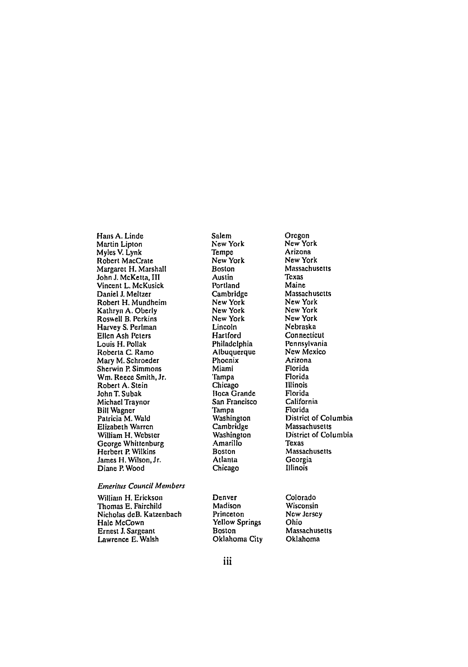Hans A. Linde Martin Lipton Myles V. Lynk Robert MacCrate Margaret H. Marshall John J. McKetta, III Vincent L. McKusick Daniel **J.** Meltzer Robert H. Mundheim Kathryn A. Oberly Roswell B. Perkins Harvey S. Perlman Ellen Ash Peters Louis H. Pollak Roberta **C.** Ramo Mary M. Schroeder Sherwin P. Simmons Wm. Reece Smith, Jr. Robert **A.** Stein John T. Subak Michael Traynor Bill Wagner Patricia M. Wald Elizabeth Warren William H. Webster George Whittenburg Herbert **P** Wilkins James H. Wilson,Jr. Diane P. Wood

#### *Emeritus Council* Members

William H. Erickson Thomas E. Fairchild Nicholas deB. Katzenbach Hale McCown Ernest J. Sargeant Lawrence E. Walsh

Salem New York Tempe New York Boston Austin Portland Cambridge New York New York New York Lincoln Hartford Philadelphia Albuquerque Phoenix Miami Tampa Chicago Boca Grande San Francisco Tampa Washington Cambridge Washington **Amarillo** Boston Atlanta Chicago

Denver Madison Princeton Yellow Springs Boston Oklahoma City Oregon New York Arizona New York Massachusetts Texas Maine Massachusetts New York New York New York Nebraska Connecticut Pennsylvania New Mexico Arizona Florida Florida Illinois Florida California Florida District of Columbia Massachusetts District of Columbia Texas Massachusetts Georgia Illinois

Colorado Wisconsin **New** Jersey Ohio Massachusetts Oklahoma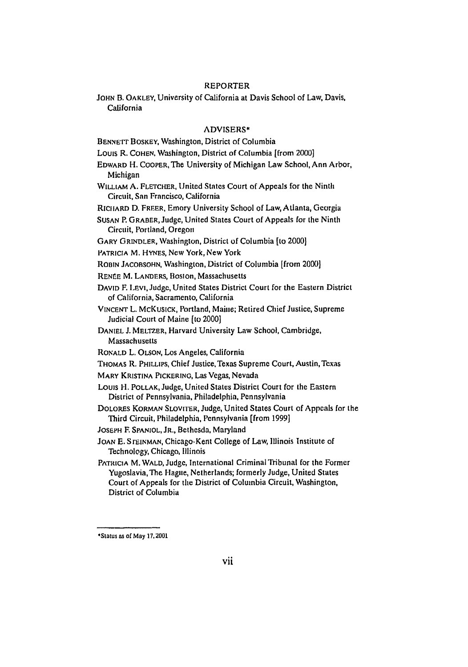## REPORTER

JOHN B. OAKLEY, University of California at Davis School of Law, Davis, California

## ADVISERS\*

BENNETT BOSKEY, Washington, District of Columbia

Louis R. COHEN, Washington, District of Columbia [from 2000]

- EDWARD H. COOPER, The University of Michigan Law School, Ann Arbor, Michigan
- WILLIAM A. FLETCHER, United States Court of Appeals for the Ninth Circuit, San Francisco, California

RicilARD D. FREER, Emory University School of Law, Atlanta, Georgia

- SUSAN P. GRABER, Judge, United States Court of Appeals for the Ninth Circuit, Portland, Oregon
- GARY GRINDLER, Washington, District of Columbia [to 2000]
- PATRICIA M. HYNES, New York, New York
- ROBIN JACOBSOHN, Washington, District of Columbia [from 2000]
- RENÉE M. LANDERS, Boston, Massachusetts
- DAVID F. LEvi, Judge, United States District Court for the Eastern District of California, Sacramento, California
- VINCENT L. McKUSICK, Portland, Maine; Retired Chief Justice, Supreme Judicial Court of Maine **[to** 2000]
- DANIEL J. MELTZER, Harvard University Law School, Cambridge, Massachusetts
- RONALD L. OLSON, Los Angeles, California
- THOMAS R. PHILLIPS, Chief Justice, Texas Supreme Court, Austin, Texas
- MARY KRISTINA PICKERING, Las Vegas, Nevada
- Louis H. POLLAK, Judge, United States District Court for the Eastern District of Pennsylvania, Philadelphia, Pennsylvania
- DOLORES KORMAN SLOVITER, Judge, United States Court of Appeals for the Third Circuit, Philadelphia, Pennsylvania [from 1999]
- **JOSEPH** F. SPANIOL, JR., Bethesda, Maryland
- JOAN E. STEINMAN, Chicago-Kent College of Law, Illinois Institute of Technology, Chicago, Illinois
- PATRICIA M. WALD, Judge, International Criminal Tribunal for the Former Yugoslavia, The Hague, Netherlands; formerly Judge, United States Court of Appeals for the District of Columbia Circuit, Washington, District of Columbia

OStatus as of May **17,2001**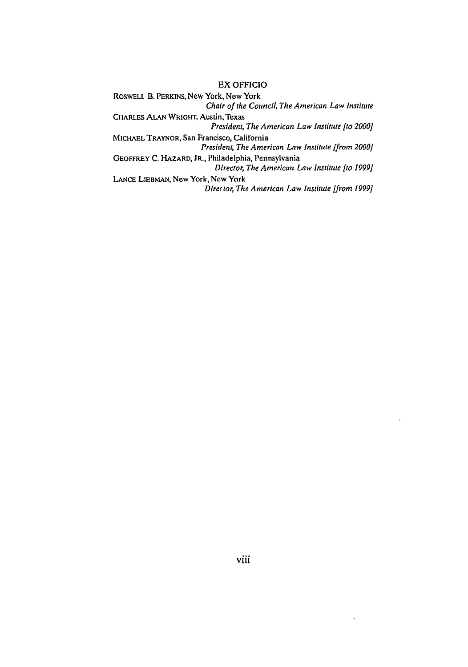#### EX **OFFICIO**

ROSWELt B. PERKINS, New York, New York Chair of the Council, The American Law Institute

CHARLES ALAN WRIGHT, Austin, Texas *President, The American Law Institute [to 2000]*

**MICHAEL** TRAYNOR, San Francisco, California *President, The American Law Institute [from 2000]*

GEOFFREY **C.** HAZARD, JR., Philadelphia, Pennsylvania Director, The *American Law Institute* [to *1999]*

**LANCE** LIEBmAN, New York, Ncw York *Direr for, The American Law Institute [from 1999]*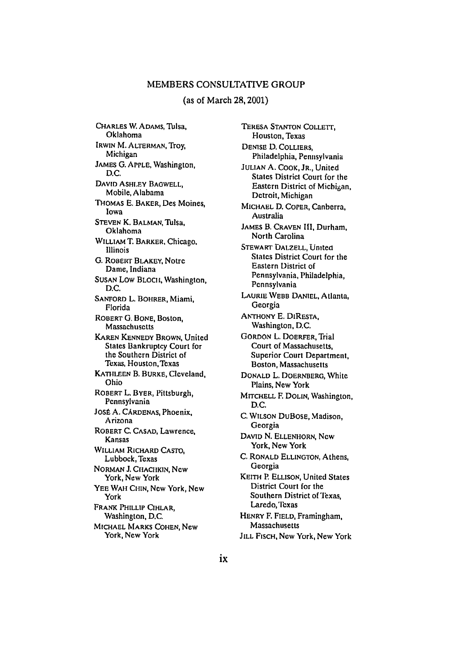## MEMBERS CONSULTATIVE GROUP

### (as of March **28,2001)**

**CHARLES** W. ADAMS, Tulsa, Oklahoma IRWIN M. ALTERMAN, Troy, Michigan JAMES **G.** APPLE, Washington, **D.C.** DAVID **ASHI.EY** BAGWELL, Mobile, Alabama THOMAS **E.** BAKER, Des Moines, Iowa **STEVEN** K. **BALMAN,** Tulsa, Oklahoma WILLIAM T. BARKER, Chicago. Illinois G. ROBERT BLAKEY, Notre Dame, Indiana **SUSAN** Low BLOCH, Washington, **D.C. SANFORD** L. BOHRER, Miami, Florida ROBERT G. **BONE,** Boston, Massachusetts KAREN KENNEDY BROWN, United States Bankruptcy Court for the Southern District of Texas, Houston, Texas KATHLEEN B. BURKE, Cleveland, Ohio ROBERT L. BYER, Pittsburgh, Pennsylvania Jost A. CARDENAS, Phoenix, Arizona ROBERT C. CASAD, Lawrence, Kansas WILLIAM RICHARD **CASTO,** Lubbock, Texas NORMAN J. CHACHKIN, New York, New York YEE WAH CHIN, New York, New York FRANK PHILLIP CIHLAR, Washington, **D.C.** MICHAEL MARKS **COHEN,** New York, New York

TERESA STANTON COLLETr, Houston, Texas DENISE D. COLLIERS, Philadelphia, Pennsylvania JULIAN A. COOK, JR., United States District Court for the Eastern District of Michigan, Detroit, Michigan MICHAEL **D.** COPER, Canberra, Australia JAMES B. CRAVEN **II,** Durham, North Carolina STEWART **UALZELL,** United States District Court for the Eastern District of Pennsylvania, Philadelphia, Pennsylvania LAURIE WEBB DANIEL, Atlanta, Georgia **ANTHONY E.** DIRESTA, Washington, D.C. GORDON L. DOERFER, Trial Court of Massachusetts, Superior Court Department, Boston, Massachusetts DONALD L. DOERNBERG, White Plains, New York MITCHELL F. DOLIN, Washington, D.C. C. WILSON DuBOSE, Madison, Georgia DAVID **N. ELLENHORN,** New York, New York **C.** RONALD ELLINGTON, Athens, Georgia KEITH P. ELLISON, United States District Court for the Southern District of Texas, Laredo, Texas HENRY F. FIELD, Framingham, Massachusetts **JILL** FISCH, New York, New York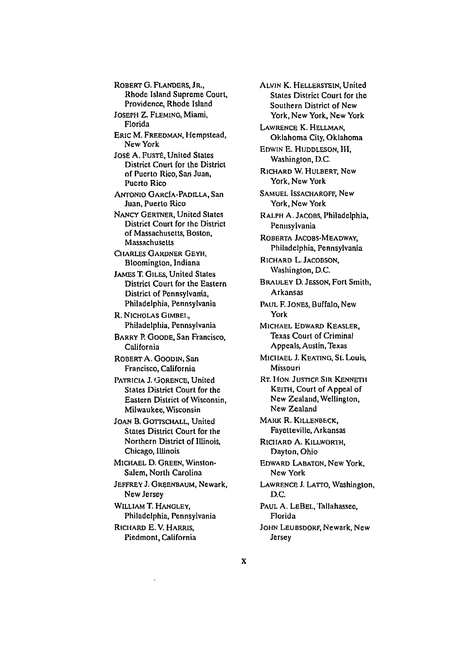ROBERT **G.** FLANDERS, **JR.,** Rhode Island Supreme Court, Providence, Rhode Island

JOSEPH Z. FLEMING, Miami, Florida

ERIC M. FREEDMAN, Hempstead, New York

José A. Fusté, United States District Court for the District of Puerto Rico, San Juan, Puerto Rico

ANTONIO GARCIA-PADLLA, San Juan, Puerto Rico

NANCY GERTNER, United States District Court for the District of Massachusetts, Boston, Massachusetts

CHARLES GARDNER GEYH, Bloomington, Indiana

JAMES **T.** GILES, United States District Court for the Eastern District of Pennsylvania, Philadelphia, Pennsylvania

R. NICHOLAS GIMBE., Philadelphia, Pennsylvania

BARRY P. GOODE, San Francisco, California

ROBERT A. GOODIN, San Francisco, California

PATRICIA J. GORENCE, United States District Court for the Eastern District of Wisconsin, Milwaukee, Wisconsin

JOAN B. GOTTSCHALL, United States District Court for the Northern District of Illinois, Chicago, Illinois

MICHAEL **D.** GREEN, Winston-Salem, North Carolina

JEFFREY J. **GREENBAUM,** Newark, New Jersey

WILLIAM T. HANGLEY, Philadelphia, Pennsylvania

RICHARD E. V. HARRIS, Piedmont, California ALVIN K. HELLERSTEIN, United States District Court for the Southern District of New York, New York, New York

LAWRENCE K. HELLMAN, Oklahoma City, Oklahoma

EDWIN **E.** HUDDLESON, III, Washington, D.C.

RICHARD W. HULBERT, New York, New York

SAMUEL ISSACHAROFF, New York, New York

RALPH A. **JACOBS,** Philadelphia, Pennsylvania

ROBERTA JACOBS-MEADWAY, Philadelphia, Pennsylvania

RICHARD L. JACOBSON, Washington, D.C.

BRADLEY D. JEssoN, Fort Smith, Arkansas

PAUL F. JONES, Buffalo, New York

**MICHAEL** EDWARD KEASLER, Texas Court of Criminal Appeals, Austin, Texas

MICIHAEL **J.** KEATING, St. Louis, Missouri

RT. HON. JUSTICE SIR KENNETH KEITH, Court of Appeal of New Zealand, Wellington, New Zealand

MARK R. **KILLENBECK,** Fayetteville, Arkansas

RICtlARD **A.** KILLWORIH, Dayton, Ohio

EDWARD LABATON, New York, New York

LAWRENCE J. LATro, Washington, D.C.

PAUL A. LEBEL, Tallahassee, Florida JOHN LEUBSDORF, Newark, New Jersey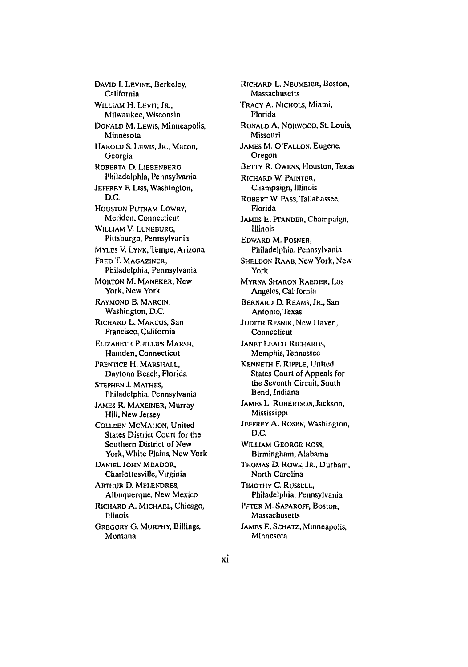DAVID I. LEVINE, Berkeley, California **WILLIAM** H. LEVIT, JR., Milwaukee, Wisconsin DONALD **M.** LEwis, Minneapolis, Minnesota HAROLD **S.** LEWIS, **JR.,** Macon, Georgia ROBERTA D. LIEBENBERG, Philadelphia, Pennsylvania JEFFREY F. LISS, Washington, D.C. HOUSTON PUTNAM LOWRY, Meriden, Connecticut WILLIAM V. **LUNEBURG.** Pittsburgh, Pennsylvania **MYLES V. LYNK, Tempe, Arizona** FRED T. MAGAZINER, Philadelphia, Pennsylvania **MORTON M. MANEKER, New** York, New York RAYMOND B. MARCIN, Washington, D.C. RICHARD L. **MARCUS,** San Francisco, California ELIZABETH PHILLIPS MARSH, Hamden, Connecticut PRENTICE H. MARSHALL, Daytona Beach, Florida STEPHEN **J. MATHES,** Philadelphia, Pennsylvania JAMES R. MAXEINER, Murray Hill, New Jersey COLLEEN MCMAHON, United States District Court for the Southern District of New York, White Plains, New York DANIEL **JOHN** MEADOR, Charlottesville, Virginia ARTHUR D. MELENDRES, Albuquerque, New Mexico RICHARD A. MICHAEL, Chicago, Illinois

GREGORY G. MURPHY, Billings, Montana

RICHARD L. **NEUMEIER,** Boston, Massachusetts TRACY A. NICHOLS, Miami, Florida RONALD **A.** NORWOOD, St. Louis, Missouri JAMES M. O'FALLON, Eugene, Oregon BETrY R. OWENS, Houston, Texas RICHARD W. PAINTER, Champaign, Illinois ROBERT **W. PASS,** "allahassee, Florida JAMES E. PrANDER, Champaign, Illinois EDWARD M. POSNER, Philadelphia, Pennsylvania SHELDON RAAB, New York, New York **MYRNA SHARON** RAEDER, Los Angeles, California BERNARD D. REAMS, JR., San Antonio, Texas JUDITH RESNIK, New Haven, Connecticut JANET LEACIi RICHARDS, Memphis, Tennessee KENNETH F. RIPPLE, United States Court of Appeals for the Seventh Circuit, South Bend, Indiana JAMES L. ROBERTSON, Jackson, Mississippi JEFFREY **A. ROSEN,** Washington, D.C. WILLIAM **GEORGE** Ross, Birmingham, Alabama THOMAS D. ROWE, JR., Durham, North Carolina TIMOTHY C. **RUSSELL,** Philadelphia, Pennsylvania PFTER M. SAPAROFF, Boston, Massachusetts JAMEs **F.** SCHATZ, Minneapolis, Minnesota